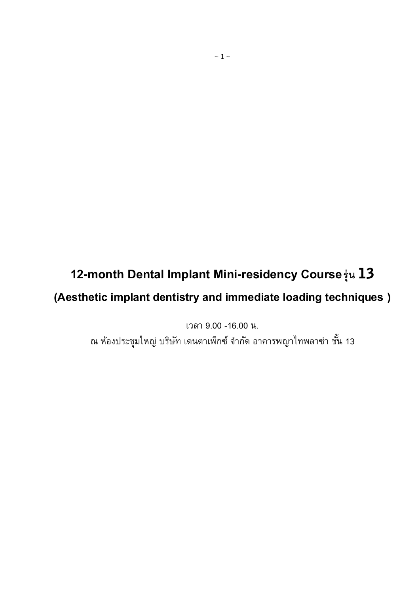# **12-month Dental Implant Mini-residency Courseรุ่น**

## **(Aesthetic implant dentistry and immediate loading techniques )**

เวลา 9.00 -16.00 น.

ณ ห้องประชุมใหญ่ บริษัท เดนตาเพ็กซ์ จำกัด อาคารพญาไทพลาซ่า ชั้น 13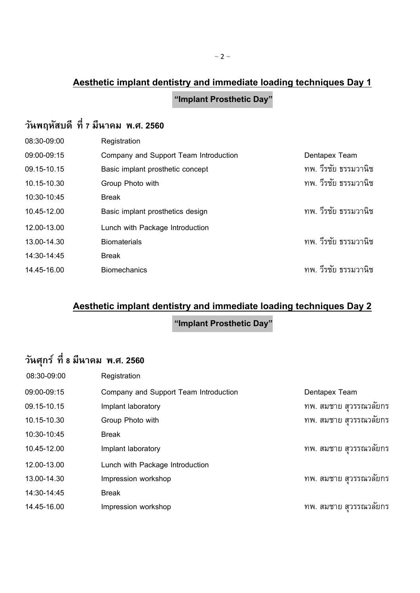### **"Implant Prosthetic Day"**

### **วันพฤหัสบดี ที่ 7 มีนาคม พ.ศ. 2560**

| 08:30-09:00 | Registration                          |               |                      |
|-------------|---------------------------------------|---------------|----------------------|
| 09:00-09:15 | Company and Support Team Introduction | Dentapex Team |                      |
| 09.15-10.15 | Basic implant prosthetic concept      |               | ทพ. วีรชัย ธรรมวานิช |
| 10.15-10.30 | Group Photo with                      |               | ทพ. วีรชัย ธรรมวานิช |
| 10:30-10:45 | <b>Break</b>                          |               |                      |
| 10.45-12.00 | Basic implant prosthetics design      |               | ทพ. วีรชัย ธรรมวานิช |
| 12.00-13.00 | Lunch with Package Introduction       |               |                      |
| 13.00-14.30 | <b>Biomaterials</b>                   |               | ทพ. วีรชัย ธรรมวานิช |
| 14:30-14:45 | <b>Break</b>                          |               |                      |
| 14.45-16.00 | <b>Biomechanics</b>                   |               | ทพ. วีรชัย ธรรมวานิช |

# **Aesthetic implant dentistry and immediate loading techniques Day 2**

**"Implant Prosthetic Day"**

# **วันศุกร์ ที่ 8 มีนาคม พ.ศ. 2560**

| 08:30-09:00 | Registration                          |                        |
|-------------|---------------------------------------|------------------------|
| 09:00-09:15 | Company and Support Team Introduction | Dentapex Team          |
| 09.15-10.15 | Implant laboratory                    | ทพ. สมชาย สวรรณวลัยกร  |
| 10.15-10.30 | Group Photo with                      | ทพ. สมชาย สวรรณวลัยกร  |
| 10:30-10:45 | <b>Break</b>                          |                        |
| 10.45-12.00 | Implant laboratory                    | ทพ. สมชาย สุวรรณวลัยกร |
| 12.00-13.00 | Lunch with Package Introduction       |                        |
| 13.00-14.30 | Impression workshop                   | ทพ. สมชาย สวรรณวลัยกร  |
| 14:30-14:45 | <b>Break</b>                          |                        |
| 14.45-16.00 | Impression workshop                   | ทพ. สมชาย สวรรณวลัยกร  |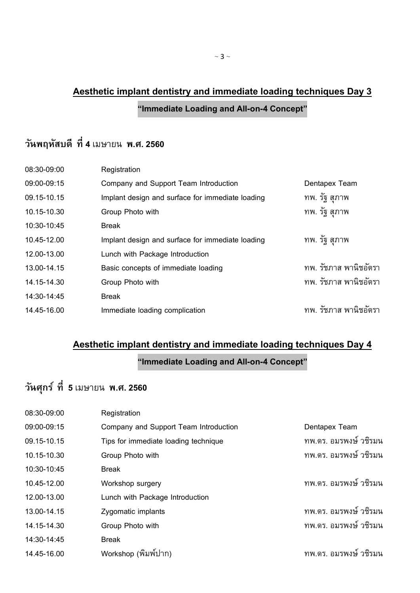## **Aesthetic implant dentistry and immediate loading techniques Day 3 "Immediate Loading and All-on-4 Concept"**

### **วันพฤหัสบดี ที่ 4** เมษายน **พ.ศ. 2560**

| 08:30-09:00 | Registration                                     |                       |
|-------------|--------------------------------------------------|-----------------------|
| 09:00-09:15 | Company and Support Team Introduction            | Dentapex Team         |
| 09.15-10.15 | Implant design and surface for immediate loading | ทพ. รัฐ สุภาพ         |
| 10.15-10.30 | Group Photo with                                 | ทพ. รัฐ สุภาพ         |
| 10:30-10:45 | <b>Break</b>                                     |                       |
| 10.45-12.00 | Implant design and surface for immediate loading | ทพ. รัฐ สุภาพ         |
| 12.00-13.00 | Lunch with Package Introduction                  |                       |
| 13.00-14.15 | Basic concepts of immediate loading              | ทพ. รัชภาส พานิชอัตรา |
| 14.15-14.30 | Group Photo with                                 | ทพ. รัชภาส พานิชอัตรา |
| 14:30-14:45 | <b>Break</b>                                     |                       |
| 14.45-16.00 | Immediate loading complication                   | ทพ. รัชภาส พานิชอัตรา |

#### **Aesthetic implant dentistry and immediate loading techniques Day 4**

#### **"Immediate Loading and All-on-4 Concept"**

# **วันศุกร์ ที่ 5** เมษายน **พ.ศ. 2560**

| 08:30-09:00 | Registration                          |                       |
|-------------|---------------------------------------|-----------------------|
| 09:00-09:15 | Company and Support Team Introduction | Dentapex Team         |
| 09.15-10.15 | Tips for immediate loading technique  | ทพ.ดร. อมรพงษ์ วชิรมน |
| 10.15-10.30 | Group Photo with                      | ทพ.ดร. อมรพงษ์ วชิรมน |
| 10:30-10:45 | <b>Break</b>                          |                       |
| 10.45-12.00 | Workshop surgery                      | ทพ.ดร. อมรพงษ์ วชิรมน |
| 12.00-13.00 | Lunch with Package Introduction       |                       |
| 13.00-14.15 | Zygomatic implants                    | ทพ.ดร. อมรพงษ์ วชิรมน |
| 14.15-14.30 | Group Photo with                      | ทพ.ดร. อมรพงษ์ วชิรมน |
| 14:30-14:45 | <b>Break</b>                          |                       |
| 14.45-16.00 | Workshop (พิมพ์ปาก)                   | ทพ.ดร. อมรพงษ์ วชิรมน |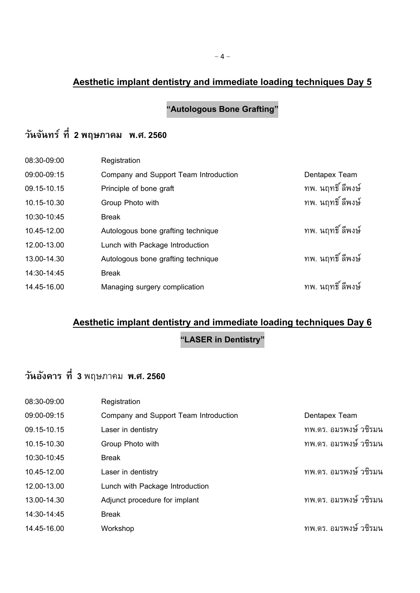**"Autologous Bone Grafting"**

### **วันจันทร์ ที่ 2 พฤษภาคม พ.ศ. 2560**

| Registration                          |                   |
|---------------------------------------|-------------------|
| Company and Support Team Introduction | Dentapex Team     |
| Principle of bone graft               | ทพ. นฤทธิ์ ลีพงษ์ |
| Group Photo with                      | ทพ. นฤทธิ์ ลีพงษ์ |
| <b>Break</b>                          |                   |
| Autologous bone grafting technique    | ทพ. นฤทธิ์ ลีพงษ์ |
| Lunch with Package Introduction       |                   |
| Autologous bone grafting technique    | ทพ. นฤทธิ์ ลีพงษ์ |
| <b>Break</b>                          |                   |
| Managing surgery complication         | ทพ. นฤทธิ์ ลีพงษ์ |
|                                       |                   |

#### **Aesthetic implant dentistry and immediate loading techniques Day 6**

**"LASER in Dentistry"**

## **วันอังคาร ที่ 3** พฤษภาคม **พ.ศ. 2560**

| 08:30-09:00 | Registration                          |                       |
|-------------|---------------------------------------|-----------------------|
| 09:00-09:15 | Company and Support Team Introduction | Dentapex Team         |
| 09.15-10.15 | Laser in dentistry                    | ทพ.ดร. อมรพงษ์ วชิรมน |
| 10.15-10.30 | Group Photo with                      | ทพ.ดร. อมรพงษ์ วชิรมน |
| 10:30-10:45 | <b>Break</b>                          |                       |
| 10.45-12.00 | Laser in dentistry                    | ทพ.ดร. อมรพงษ์ วชิรมน |
| 12.00-13.00 | Lunch with Package Introduction       |                       |
| 13.00-14.30 | Adjunct procedure for implant         | ทพ.ดร. อมรพงษ์ วชิรมน |
| 14:30-14:45 | <b>Break</b>                          |                       |
| 14.45-16.00 | Workshop                              | ทพ.ดร. อมรพงษ์ วชิรมน |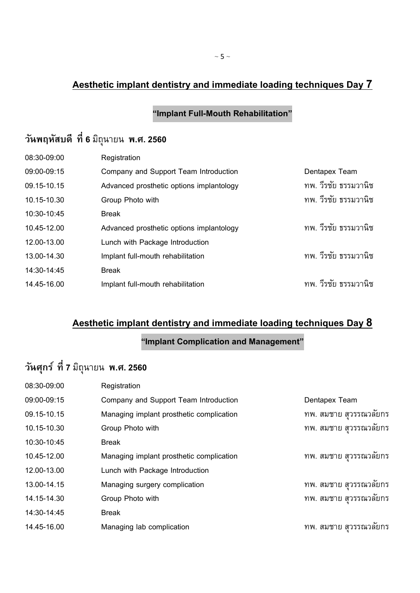### **"Implant Full-Mouth Rehabilitation"**

# **วันพฤหัสบดี ที่ 6** มิถุนายน **พ.ศ. 2560**

| 08:30-09:00 | Registration                             |                      |
|-------------|------------------------------------------|----------------------|
| 09:00-09:15 | Company and Support Team Introduction    | Dentapex Team        |
| 09.15-10.15 | Advanced prosthetic options implantology | ทพ. วีรชัย ธรรมวานิช |
| 10.15-10.30 | Group Photo with                         | ทพ. วีรชัย ธรรมวานิช |
| 10:30-10:45 | <b>Break</b>                             |                      |
| 10.45-12.00 | Advanced prosthetic options implantology | ทพ. วีรชัย ธรรมวานิช |
| 12.00-13.00 | Lunch with Package Introduction          |                      |
| 13.00-14.30 | Implant full-mouth rehabilitation        | ทพ. วีรชัย ธรรมวานิช |
| 14:30-14:45 | <b>Break</b>                             |                      |
| 14.45-16.00 | Implant full-mouth rehabilitation        | ทพ. วีรชัย ธรรมวานิช |
|             |                                          |                      |

### **Aesthetic implant dentistry and immediate loading techniques Day 8**

#### **"Implant Complication and Management"**

# **วันศุกร์ ที่ 7** มิถุนายน **พ.ศ. 2560**

| 08:30-09:00 | Registration                             |                        |
|-------------|------------------------------------------|------------------------|
| 09:00-09:15 | Company and Support Team Introduction    | Dentapex Team          |
| 09.15-10.15 | Managing implant prosthetic complication | ทพ. สมชาย สวรรณวลัยกร  |
| 10.15-10.30 | Group Photo with                         | ทพ. สมชาย สวรรณวลัยกร  |
| 10:30-10:45 | <b>Break</b>                             |                        |
| 10.45-12.00 | Managing implant prosthetic complication | ทพ. สมชาย สุวรรณวลัยกร |
| 12.00-13.00 | Lunch with Package Introduction          |                        |
| 13.00-14.15 | Managing surgery complication            | ทพ. สมชาย สุวรรณวลัยกร |
| 14.15-14.30 | Group Photo with                         | ทพ. สมชาย สุวรรณวลัยกร |
| 14:30-14:45 | Break                                    |                        |
| 14.45-16.00 | Managing lab complication                | ทพ. สมชาย สวรรณวลัยกร  |
|             |                                          |                        |